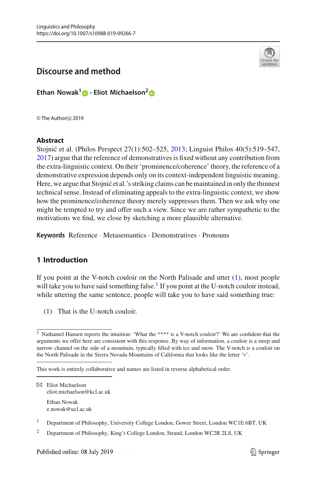

# **Discourse and method**

**Ethan Nowak[1](http://orcid.org/0000-0002-5141-3134) · Eliot Michaelson[2](http://orcid.org/0000-0002-2181-5423)**

© The Author(s) 2019

#### **Abstract**

Stojnić et al. (Philos Perspect 27(1):502–525, [2013;](#page-19-0) Linguist Philos 40(5):519–547, [2017\)](#page-19-1) argue that the reference of demonstratives is fixed without any contribution from the extra-linguistic context. On their 'prominence/coherence' theory, the reference of a demonstrative expression depends only on its context-independent linguistic meaning. Here, we argue that Stojnić et al.'s striking claims can be maintained in only the thinnest technical sense. Instead of eliminating appeals to the extra-linguistic context, we show how the prominence/coherence theory merely suppresses them. Then we ask why one might be tempted to try and offer such a view. Since we are rather sympathetic to the motivations we find, we close by sketching a more plausible alternative.

**Keywords** Reference · Metasemantics · Demonstratives · Pronouns

## **1 Introduction**

If you point at the V-notch couloir on the North Palisade and utter [\(1\)](#page-0-0), most people will take you to have said something false.<sup>1</sup> If you point at the U-notch couloir instead, while uttering the same sentence, people will take you to have said something true:

<span id="page-0-0"></span>(1) That is the U-notch couloir.

<sup>&</sup>lt;sup>1</sup> Nathaniel Hansen reports the intuition: 'What the \*\*\*\* is a V-notch couloir?' We are confident that the arguments we offer here are consistent with this response. By way of information, a couloir is a steep and narrow channel on the side of a mountain, typically filled with ice and snow. The V-notch is a couloir on the North Palisade in the Sierra Nevada Mountains of California that looks like the letter 'v'.

This work is entirely collaborative and names are listed in reverse alphabetical order.

B Eliot Michaelson eliot.michaelson@kcl.ac.uk Ethan Nowak e.nowak@ucl.ac.uk

<sup>&</sup>lt;sup>1</sup> Department of Philosophy, University College London, Gower Street, London WC1E 6BT, UK

<sup>2</sup> Department of Philosophy, King's College London, Strand, London WC2R 2LS, UK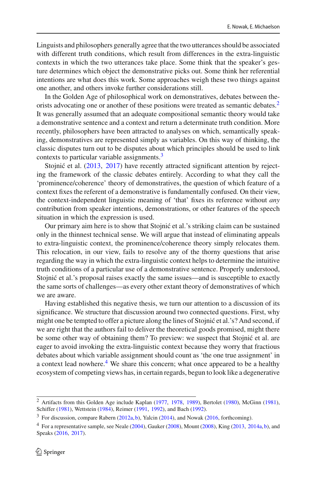Linguists and philosophers generally agree that the two utterances should be associated with different truth conditions, which result from differences in the extra-linguistic contexts in which the two utterances take place. Some think that the speaker's gesture determines which object the demonstrative picks out. Some think her referential intentions are what does this work. Some approaches weigh these two things against one another, and others invoke further considerations still.

In the Golden Age of philosophical work on demonstratives, debates between the-orists advocating one or another of these positions were treated as semantic debates.<sup>[2](#page-1-0)</sup> It was generally assumed that an adequate compositional semantic theory would take a demonstrative sentence and a context and return a determinate truth condition. More recently, philosophers have been attracted to analyses on which, semantically speaking, demonstratives are represented simply as variables. On this way of thinking, the classic disputes turn out to be disputes about which principles should be used to link contexts to particular variable assignments.<sup>3</sup>

Stojnić et al[.](#page-19-0) [\(2013,](#page-19-0) [2017](#page-19-1)) have recently attracted significant attention by rejecting the framework of the classic debates entirely. According to what they call the 'prominence/coherence' theory of demonstratives, the question of which feature of a context fixes the referent of a demonstrative is fundamentally confused. On their view, the context-independent linguistic meaning of 'that' fixes its reference without *any* contribution from speaker intentions, demonstrations, or other features of the speech situation in which the expression is used.

Our primary aim here is to show that Stojnić et al.'s striking claim can be sustained only in the thinnest technical sense. We will argue that instead of eliminating appeals to extra-linguistic context, the prominence/coherence theory simply relocates them. This relocation, in our view, fails to resolve any of the thorny questions that arise regarding the way in which the extra-linguistic context helps to determine the intuitive truth conditions of a particular use of a demonstrative sentence. Properly understood, Stojnić et al.'s proposal raises exactly the same issues—and is susceptible to exactly the same sorts of challenges—as every other extant theory of demonstratives of which we are aware.

Having established this negative thesis, we turn our attention to a discussion of its significance. We structure that discussion around two connected questions. First, why might one be tempted to offer a picture along the lines of Stojnić et al.'s? And second, if we are right that the authors fail to deliver the theoretical goods promised, might there be some other way of obtaining them? To preview: we suspect that Stojnić et al. are eager to avoid invoking the extra-linguistic context because they worry that fractious debates about which variable assignment should count as 'the one true assignment' in a context lead nowhere.<sup>[4](#page-1-2)</sup> We share this concern; what once appeared to be a healthy ecosystem of competing views has, in certain regards, begun to look like a degenerative

<span id="page-1-0"></span><sup>2</sup> Artifacts from this Golden Age include Kapla[n](#page-18-0) [\(1977,](#page-18-0) [1978](#page-18-1), [1989\)](#page-18-2), Bertole[t](#page-18-3) [\(1980\)](#page-18-3), McGin[n](#page-19-2) [\(1981](#page-19-2)), Schiffe[r](#page-19-3) [\(1981\)](#page-19-3), Wettstei[n](#page-19-4) [\(1984\)](#page-19-4), Reime[r](#page-19-5) [\(1991,](#page-19-5) [1992\)](#page-19-6), and Bac[h](#page-18-4) [\(1992\)](#page-18-4).

<span id="page-1-1"></span><sup>&</sup>lt;sup>3</sup> For discussio[n](#page-19-9), compare Rabern [\(2012a](#page-19-7), [b](#page-19-8)), Yalcin [\(2014](#page-19-9)), and Nowa[k](#page-19-10) [\(2016,](#page-19-10) forthcoming).

<span id="page-1-2"></span><sup>4</sup> For a representative sample, see Neal[e](#page-19-11) [\(2004\)](#page-19-11), Gauke[r](#page-18-5) [\(2008\)](#page-18-5), Moun[t](#page-19-12) [\(2008](#page-19-12)), Kin[g](#page-18-6) [\(2013](#page-18-6), [2014a](#page-18-7), [b](#page-18-8)), and Speak[s](#page-19-13) [\(2016,](#page-19-13) [2017\)](#page-19-14).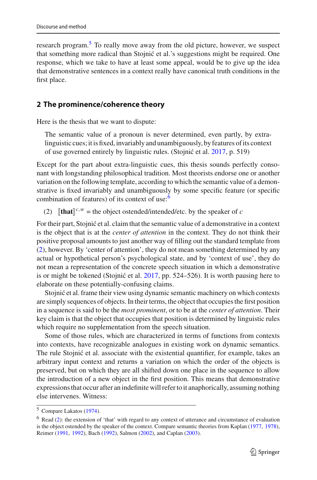research program.<sup>5</sup> To really move away from the old picture, however, we suspect that something more radical than Stojnić et al.'s suggestions might be required. One response, which we take to have at least some appeal, would be to give up the idea that demonstrative sentences in a context really have canonical truth conditions in the first place.

### **2 The prominence/coherence theory**

Here is the thesis that we want to dispute:

The semantic value of a pronoun is never determined, even partly, by extralinguistic cues; it is fixed, invariably and unambiguously, by features of its context of use governed entirely by linguistic rules. (Stojnić et al. [2017](#page-19-1), p. 519)

Except for the part about extra-linguistic cues, this thesis sounds perfectly consonant with longstanding philosophical tradition. Most theorists endorse one or another variation on the following template, according to which the semantic value of a demonstrative is fixed invariably and unambiguously by some specific feature (or specific combination of features) of its context of use[:6](#page-2-1)

<span id="page-2-2"></span>(2)  $[\text{that}]^{c,w}$  = the object ostended/intended/etc. by the speaker of *c* 

For their part, Stojnić et al. claim that the semantic value of a demonstrative in a context is the object that is at the *center of attention* in the context. They do not think their positive proposal amounts to just another way of filling out the standard template from [\(2\)](#page-2-2), however. By 'center of attention', they do not mean something determined by any actual or hypothetical person's psychological state, and by 'context of use', they do not mean a representation of the concrete speech situation in which a demonstrative is or might be tokened (Stojnić et al.  $2017$ , pp. 524–526). It is worth pausing here to elaborate on these potentially-confusing claims.

Stojnić et al. frame their view using dynamic semantic machinery on which contexts are simply sequences of objects. In their terms, the object that occupies the first position in a sequence is said to be the *most prominent*, or to be at the *center of attention*. Their key claim is that the object that occupies that position is determined by linguistic rules which require no supplementation from the speech situation.

Some of those rules, which are characterized in terms of functions from contexts into contexts, have recognizable analogues in existing work on dynamic semantics. The rule Stojnić et al. associate with the existential quantifier, for example, takes an arbitrary input context and returns a variation on which the order of the objects is preserved, but on which they are all shifted down one place in the sequence to allow the introduction of a new object in the first position. This means that demonstrative expressions that occur after an indefinite will refer to it anaphorically, assuming nothing else intervenes. Witness:

<span id="page-2-0"></span><sup>5</sup> Compare Lakato[s](#page-18-9) [\(1974\)](#page-18-9).

<span id="page-2-1"></span><sup>6</sup> Read [\(2\)](#page-2-2): the extension of 'that' with regard to any context of utterance and circumstance of evaluation is the object ostended by the speaker of the context. Compare semantic theories from Kapla[n](#page-18-0) [\(1977,](#page-18-0) [1978](#page-18-1)), Reime[r](#page-19-5) [\(1991,](#page-19-5) [1992\)](#page-19-6), Bac[h](#page-18-4) [\(1992](#page-18-4)), Salmo[n](#page-19-15) [\(2002\)](#page-19-15), and Capla[n](#page-18-10) [\(2003](#page-18-10)).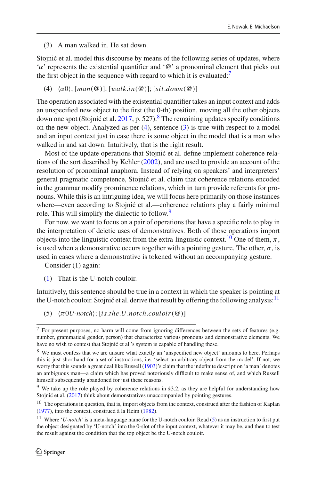<span id="page-3-3"></span>(3) A man walked in. He sat down.

Stojnić et al. model this discourse by means of the following series of updates, where ' $\alpha$ ' represents the existential quantifier and ' $\omega$ ' a pronominal element that picks out the first object in the sequence with regard to which it is evaluated: $7$ 

<span id="page-3-2"></span>(4)  $\langle \alpha 0 \rangle$ ; [man(@)]; [walk.*in*(@)]; [sit.*down*(@)]

The operation associated with the existential quantifier takes an input context and adds an unspecified new object to the first (the 0-th) position, moving all the other objects down one spot (Stojnić et al. [2017](#page-19-1), p. 527).<sup>8</sup> The remaining updates specify conditions on the new object. Analyzed as per  $(4)$ , sentence  $(3)$  is true with respect to a model and an input context just in case there is some object in the model that is a man who walked in and sat down. Intuitively, that is the right result.

Most of the update operations that Stojnić et al. define implement coherence relations of the sort described by Kehle[r](#page-18-11) [\(2002\)](#page-18-11), and are used to provide an account of the resolution of pronominal anaphora. Instead of relying on speakers' and interpreters' general pragmatic competence, Stojnić et al. claim that coherence relations encoded in the grammar modify prominence relations, which in turn provide referents for pronouns. While this is an intriguing idea, we will focus here primarily on those instances where—even according to Stojnić et al.—coherence relations play a fairly minimal role. This will simplify the dialectic to follow.<sup>[9](#page-3-4)</sup>

For now, we want to focus on a pair of operations that have a specific role to play in the interpretation of deictic uses of demonstratives. Both of those operations import objects into the linguistic context from the extra-linguistic context.<sup>[10](#page-3-5)</sup> One of them,  $\pi$ , is used when a demonstrative occurs together with a pointing gesture. The other,  $\sigma$ , is used in cases where a demonstrative is tokened without an accompanying gesture.

Consider (1) again:

[\(1\)](#page-0-0) That is the U-notch couloir.

Intuitively, this sentence should be true in a context in which the speaker is pointing at the U-notch couloir. Stojnić et al. derive that result by offering the following analysis:<sup>[11](#page-3-6)</sup>

<span id="page-3-7"></span> $(5)$   $\langle \pi 0U\text{-}notch \rangle$ ; [*is*.*the*.*U*.*notch*.*couloir*(@)]

<span id="page-3-0"></span><sup>7</sup> For present purposes, no harm will come from ignoring differences between the sets of features (e.g. number, grammatical gender, person) that characterize various pronouns and demonstrative elements. We have no wish to contest that Stojnić et al.'s system is capable of handling these.

<span id="page-3-1"></span><sup>8</sup> We must confess that we are unsure what exactly an 'unspecified new object' amounts to here. Perhaps this is just shorthand for a set of instructions, i.e. 'select an arbitrary object from the model'. If not, we worry that this sounds a great deal like Russel[l](#page-19-16) [\(1903\)](#page-19-16)'s claim that the indefinite description 'a man' denotes an ambiguous man—a claim which has proved notoriously difficult to make sense of, and which Russell himself subsequently abandoned for just these reasons.

<span id="page-3-4"></span><sup>9</sup> We take up the role played by coherence relations in §3.2, as they are helpful for understanding how Stojnić et al[.](#page-19-1)  $(2017)$  $(2017)$  think about demonstratives unaccompanied by pointing gestures.

<span id="page-3-5"></span><sup>&</sup>lt;sup>10</sup> The operatio[n](#page-18-0)s in question, that is, import objects from the context, construed after the fashion of Kaplan [\(1977](#page-18-0)), into the context, construed à la Hei[m](#page-18-12) [\(1982\)](#page-18-12).

<span id="page-3-6"></span><sup>11</sup> Where '*U-notch*' is a meta-language name for the U-notch couloir. Read [\(5\)](#page-3-7) as an instruction to first put the object designated by 'U-notch' into the 0-slot of the input context, whatever it may be, and then to test the result against the condition that the top object be the U-notch couloir.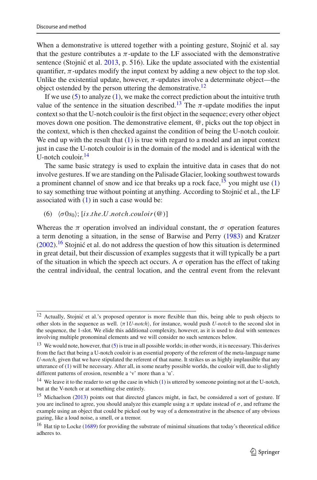When a demonstrative is uttered together with a pointing gesture, Stojnić et al. say that the gesture contributes a  $\pi$ -update to the LF associated with the demonstrative sentence (Stojnić et al.  $2013$ , p. 516). Like the update associated with the existential quantifier,  $\pi$ -updates modify the input context by adding a new object to the top slot. Unlike the existential update, however,  $\pi$ -updates involve a determinate object—the object ostended by the person uttering the demonstrative.<sup>[12](#page-4-0)</sup>

If we use [\(5\)](#page-3-7) to analyze [\(1\)](#page-0-0), we make the correct prediction about the intuitive truth value of the sentence in the situation described.<sup>13</sup> The  $\pi$ -update modifies the input context so that the U-notch couloir is the first object in the sequence; every other object moves down one position. The demonstrative element, @, picks out the top object in the context, which is then checked against the condition of being the U-notch couloir. We end up with the result that  $(1)$  is true with regard to a model and an input context just in case the U-notch couloir is in the domain of the model and is identical with the U-notch couloir.[14](#page-4-2)

The same basic strategy is used to explain the intuitive data in cases that do not involve gestures. If we are standing on the Palisade Glacier, looking southwest towards a prominent channel of snow and ice that breaks up a rock face,  $\frac{15}{15}$  you might use [\(1\)](#page-0-0) to say something true without pointing at anything. According to Stojnić et al., the LF associated with [\(1\)](#page-0-0) in such a case would be:

## (6)  $\langle \sigma 0s_0 \rangle$ ; [*is.the.U.notch.couloir*(@)]

Whereas the  $\pi$  operation involved an individual constant, the  $\sigma$  operation features a term denoting a situation, in the sense of Barwise and Perr[y](#page-18-13) [\(1983](#page-18-13)) and Kratze[r](#page-18-14)  $(2002)$ .<sup>[16](#page-4-4)</sup> Stojnić et al. do not address the question of how this situation is determined in great detail, but their discussion of examples suggests that it will typically be a part of the situation in which the speech act occurs. A  $\sigma$  operation has the effect of taking the central individual, the central location, and the central event from the relevant

<span id="page-4-0"></span><sup>&</sup>lt;sup>12</sup> Actually, Stojnić et al.'s proposed operator is more flexible than this, being able to push objects to other slots in the sequence as well.  $\langle \pi 1U\text{-}notch \rangle$ , for instance, would push *U-notch* to the second slot in the sequence, the 1-slot. We elide this additional complexity, however, as it is used to deal with sentences involving multiple pronominal elements and we will consider no such sentences below.

<span id="page-4-1"></span> $13$  We would note, however, that [\(5\)](#page-3-7) is true in all possible worlds; in other words, it is necessary. This derives from the fact that being a U-notch couloir is an essential property of the referent of the meta-language name *U-notch*, given that we have stipulated the referent of that name. It strikes us as highly implausible that any utterance of [\(1\)](#page-0-0) will be necessary. After all, in some nearby possible worlds, the couloir will, due to slightly different patterns of erosion, resemble a 'v' more than a 'u'.

<span id="page-4-2"></span> $14$  We leave it to the reader to set up the case in which [\(1\)](#page-0-0) is uttered by someone pointing not at the U-notch, but at the V-notch or at something else entirely.

<span id="page-4-3"></span><sup>&</sup>lt;sup>15</sup> Michaelso[n](#page-19-17) [\(2013\)](#page-19-17) points out that directed glances might, in fact, be considered a sort of gesture. If you are inclined to agree, you should analyze this example using a  $\pi$  update instead of  $\sigma$ , and reframe the example using an object that could be picked out by way of a demonstrative in the absence of any obvious gazing, like a loud noise, a smell, or a tremor.

<span id="page-4-4"></span><sup>&</sup>lt;sup>16</sup> Hat tip to Lock[e](#page-19-18) [\(1689](#page-19-18)) for providing the substrate of minimal situations that today's theoretical edifice adheres to.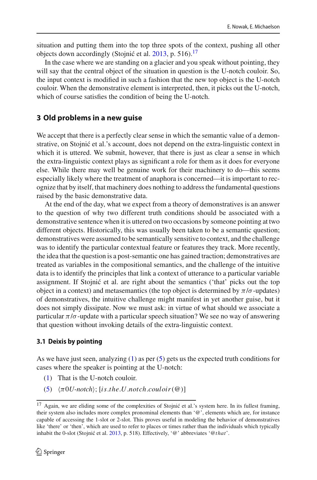situation and putting them into the top three spots of the context, pushing all other objects down accordingly (Stojnić et al.  $2013$ , p. 516).<sup>[17](#page-5-0)</sup>

In the case where we are standing on a glacier and you speak without pointing, they will say that the central object of the situation in question is the U-notch couloir. So, the input context is modified in such a fashion that the new top object is the U-notch couloir. When the demonstrative element is interpreted, then, it picks out the U-notch, which of course satisfies the condition of being the U-notch.

#### **3 Old problems in a new guise**

We accept that there is a perfectly clear sense in which the semantic value of a demonstrative, on Stojnić et al.'s account, does not depend on the extra-linguistic context in which it is uttered. We submit, however, that there is just as clear a sense in which the extra-linguistic context plays as significant a role for them as it does for everyone else. While there may well be genuine work for their machinery to do—this seems especially likely where the treatment of anaphora is concerned—it is important to recognize that by itself, that machinery does nothing to address the fundamental questions raised by the basic demonstrative data.

At the end of the day, what we expect from a theory of demonstratives is an answer to the question of why two different truth conditions should be associated with a demonstrative sentence when it is uttered on two occasions by someone pointing at two different objects. Historically, this was usually been taken to be a semantic question; demonstratives were assumed to be semantically sensitive to context, and the challenge was to identify the particular contextual feature or features they track. More recently, the idea that the question is a post-semantic one has gained traction; demonstratives are treated as variables in the compositional semantics, and the challenge of the intuitive data is to identify the principles that link a context of utterance to a particular variable assignment. If Stojnić et al. are right about the semantics ('that' picks out the top object in a context) and metasemantics (the top object is determined by  $\pi/\sigma$ -updates) of demonstratives, the intuitive challenge might manifest in yet another guise, but it does not simply dissipate. Now we must ask: in virtue of what should we associate a particular  $\pi/\sigma$ -update with a particular speech situation? We see no way of answering that question without invoking details of the extra-linguistic context.

#### **3.1 Deixis by pointing**

As we have just seen, analyzing [\(1\)](#page-0-0) as per [\(5\)](#page-3-7) gets us the expected truth conditions for cases where the speaker is pointing at the U-notch:

- [\(1\)](#page-0-0) That is the U-notch couloir.
- $(5)$   $\langle \pi 0U\text{-}notch \rangle$ ; [*is*.*the*.*U*.*notch.couloir*(@)]

<span id="page-5-0"></span> $17$  Again, we are eliding some of the complexities of Stojnić et al.'s system here. In its fullest framing, their system also includes more complex pronominal elements than '@', elements which are, for instance capable of accessing the 1-slot or 2-slot. This proves useful in modeling the behavior of demonstratives like 'there' or 'then', which are used to refer to places or times rather than the individuals which typically inhabit the 0-slot (Stojnić et al. [2013](#page-19-0), p. 518). Effectively, '@' abbreviates '@that'.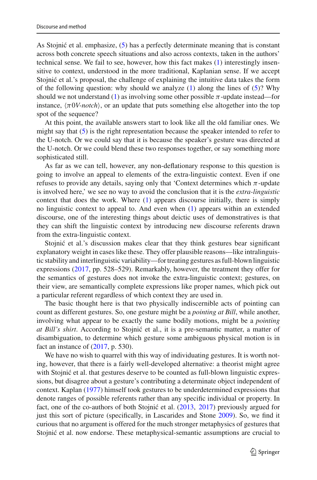As Stojnić et al. emphasize,  $(5)$  has a perfectly determinate meaning that is constant across both concrete speech situations and also across contexts, taken in the authors' technical sense. We fail to see, however, how this fact makes [\(1\)](#page-0-0) interestingly insensitive to context, understood in the more traditional, Kaplanian sense. If we accept Stojnić et al.'s proposal, the challenge of explaining the intuitive data takes the form of the following question: why should we analyze  $(1)$  along the lines of  $(5)$ ? Why should we not understand [\(1\)](#page-0-0) as involving some other possible  $\pi$ -update instead—for instance,  $\langle \pi$ 0*V-notch*), or an update that puts something else altogether into the top spot of the sequence?

At this point, the available answers start to look like all the old familiar ones. We might say that [\(5\)](#page-3-7) is the right representation because the speaker intended to refer to the U-notch. Or we could say that it is because the speaker's gesture was directed at the U-notch. Or we could blend these two responses together, or say something more sophisticated still.

As far as we can tell, however, any non-deflationary response to this question is going to involve an appeal to elements of the extra-linguistic context. Even if one refuses to provide any details, saying only that 'Context determines which  $\pi$ -update is involved here,' we see no way to avoid the conclusion that it is the *extra-linguistic* context that does the work. Where [\(1\)](#page-0-0) appears discourse initially, there is simply no linguistic context to appeal to. And even when [\(1\)](#page-0-0) appears within an extended discourse, one of the interesting things about deictic uses of demonstratives is that they can shift the linguistic context by introducing new discourse referents drawn from the extra-linguistic context.

Stojnić et al.'s discussion makes clear that they think gestures bear significant explanatory weight in cases like these. They offer plausible reasons—like intralinguistic stability and interlinguistic variability—for treating gestures as full-blown linguistic expressions [\(2017](#page-19-1), pp. 528–529). Remarkably, however, the treatment they offer for the semantics of gestures does not invoke the extra-linguistic context; gestures, on their view, are semantically complete expressions like proper names, which pick out a particular referent regardless of which context they are used in.

The basic thought here is that two physically indiscernible acts of pointing can count as different gestures. So, one gesture might be a *pointing at Bill*, while another, involving what appear to be exactly the same bodily motions, might be a *pointing at Bill's shirt*. According to Stojnić et al., it is a pre-semantic matter, a matter of disambiguation, to determine which gesture some ambiguous physical motion is in fact an instance of [\(2017](#page-19-1), p. 530).

We have no wish to quarrel with this way of individuating gestures. It is worth noting, however, that there is a fairly well-developed alternative: a theorist might agree with Stojnić et al. that gestures deserve to be counted as full-blown linguistic expressions, but disagree about a gesture's contributing a determinate object independent of context. Kapla[n](#page-18-0) [\(1977](#page-18-0)) himself took gestures to be underdetermined expressions that denote ranges of possible referents rather than any specific individual or property. In fact, one of the co-authors of both Stojnić et al[.](#page-19-0)  $(2013, 2017)$  $(2013, 2017)$  $(2013, 2017)$  previously argued for just this sort of picture (specifically, in Lascarides and Ston[e](#page-19-19) [2009\)](#page-19-19). So, we find it curious that no argument is offered for the much stronger metaphysics of gestures that Stojnić et al. now endorse. These metaphysical-semantic assumptions are crucial to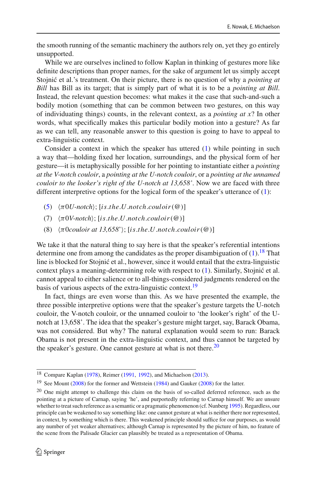the smooth running of the semantic machinery the authors rely on, yet they go entirely unsupported.

While we are ourselves inclined to follow Kaplan in thinking of gestures more like definite descriptions than proper names, for the sake of argument let us simply accept Stojnić et al.'s treatment. On their picture, there is no question of why a *pointing at Bill* has Bill as its target; that is simply part of what it is to be a *pointing at Bill*. Instead, the relevant question becomes: what makes it the case that such-and-such a bodily motion (something that can be common between two gestures, on this way of individuating things) counts, in the relevant context, as a *pointing at x*? In other words, what specifically makes this particular bodily motion into a gesture? As far as we can tell, any reasonable answer to this question is going to have to appeal to extra-linguistic context.

Consider a context in which the speaker has uttered [\(1\)](#page-0-0) while pointing in such a way that—holding fixed her location, surroundings, and the physical form of her gesture—it is metaphysically possible for her pointing to instantiate either a *pointing at the V-notch couloir*, a *pointing at the U-notch couloir*, or a *pointing at the unnamed couloir to the looker's right of the U-notch at 13,658'*. Now we are faced with three different interpretive options for the logical form of the speaker's utterance of [\(1\)](#page-0-0):

- $(5)$   $\langle \pi 0U\text{-}notch \rangle$ ; [*is*.*the*.*U*.*notch*.*couloir*(@)]
- $(7)$   $\langle \pi$ 0*V*-notch $\rangle$ ; [*is*.*the*.*U*.*notch.couloir*(@)]
- (8) -π0*couloir at 13,658*'; [*is*.*the*.*U*.*notch*.*couloir*(@)]

We take it that the natural thing to say here is that the speaker's referential intentions determine one from among the candidates as the proper disambiguation of  $(1)$ .<sup>[18](#page-7-0)</sup> That line is blocked for Stojnić et al., however, since it would entail that the extra-linguistic context plays a meaning-determining role with respect to  $(1)$ . Similarly, Stojnić et al. cannot appeal to either salience or to all-things-considered judgments rendered on the basis of various aspects of the extra-linguistic context.<sup>[19](#page-7-1)</sup>

In fact, things are even worse than this. As we have presented the example, the three possible interpretive options were that the speaker's gesture targets the U-notch couloir, the V-notch couloir, or the unnamed couloir to 'the looker's right' of the Unotch at 13,658'. The idea that the speaker's gesture might target, say, Barack Obama, was not considered. But why? The natural explanation would seem to run: Barack Obama is not present in the extra-linguistic context, and thus cannot be targeted by the speaker's gesture. One cannot gesture at what is not there.<sup>20</sup>

<span id="page-7-0"></span><sup>18</sup> Compare Kapla[n](#page-18-1) [\(1978\)](#page-18-1), Reime[r](#page-19-5) [\(1991,](#page-19-5) [1992\)](#page-19-6), and Michaelso[n](#page-19-17) [\(2013\)](#page-19-17).

<span id="page-7-1"></span><sup>&</sup>lt;sup>19</sup> See Moun[t](#page-19-12) [\(2008](#page-19-12)) for the former a[n](#page-19-4)d Wettstein [\(1984\)](#page-19-4) and Gauke[r](#page-18-5) [\(2008\)](#page-18-5) for the latter.

<span id="page-7-2"></span><sup>&</sup>lt;sup>20</sup> One might attempt to challenge this claim on the basis of so-called deferred reference, such as the pointing at a picture of Carnap, saying 'he', and purportedly referring to Carnap himself. We are unsure whether to treat such reference as a semantic or a pragmatic phenomenon (cf. Nunber[g](#page-19-20) [1995\)](#page-19-20). Regardless, our principle can be weakened to say something like: one cannot gesture at what is neither there nor represented, in context, by something which is there. This weakened principle should suffice for our purposes, as would any number of yet weaker alternatives; although Carnap is represented by the picture of him, no feature of the scene from the Palisade Glacier can plausibly be treated as a representation of Obama.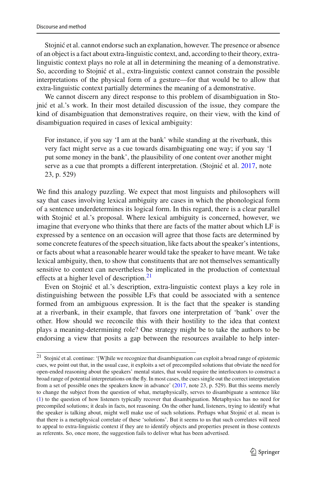Stojnić et al. cannot endorse such an explanation, however. The presence or absence of an object is a fact about extra-linguistic context, and, according to their theory, extralinguistic context plays no role at all in determining the meaning of a demonstrative. So, according to Stojnić et al., extra-linguistic context cannot constrain the possible interpretations of the physical form of a gesture—for that would be to allow that extra-linguistic context partially determines the meaning of a demonstrative.

We cannot discern any direct response to this problem of disambiguation in Stojnić et al.'s work. In their most detailed discussion of the issue, they compare the kind of disambiguation that demonstratives require, on their view, with the kind of disambiguation required in cases of lexical ambiguity:

For instance, if you say 'I am at the bank' while standing at the riverbank, this very fact might serve as a cue towards disambiguating one way; if you say 'I put some money in the bank', the plausibility of one content over another might serve as a cue that prompts a different interpretation. (Stojnić et al. [2017](#page-19-1), note 23, p. 529)

We find this analogy puzzling. We expect that most linguists and philosophers will say that cases involving lexical ambiguity are cases in which the phonological form of a sentence underdetermines its logical form. In this regard, there is a clear parallel with Stojnić et al.'s proposal. Where lexical ambiguity is concerned, however, we imagine that everyone who thinks that there are facts of the matter about which LF is expressed by a sentence on an occasion will agree that those facts are determined by some concrete features of the speech situation, like facts about the speaker's intentions, or facts about what a reasonable hearer would take the speaker to have meant. We take lexical ambiguity, then, to show that constituents that are not themselves semantically sensitive to context can nevertheless be implicated in the production of contextual effects at a higher level of description. $21$ 

Even on Stojnić et al.'s description, extra-linguistic context plays a key role in distinguishing between the possible LFs that could be associated with a sentence formed from an ambiguous expression. It is the fact that the speaker is standing at a riverbank, in their example, that favors one interpretation of 'bank' over the other. How should we reconcile this with their hostility to the idea that context plays a meaning-determining role? One strategy might be to take the authors to be endorsing a view that posits a gap between the resources available to help inter-

<span id="page-8-0"></span><sup>&</sup>lt;sup>21</sup> Stojnić et al. continue: '[W]hile we recognize that disambiguation *can* exploit a broad range of epistemic cues, we point out that, in the usual case, it exploits a set of precompiled solutions that obviate the need for open-ended reasoning about the speakers' mental states, that would require the interlocutors to construct a broad range of potential interpretations on the fly. In most cases, the cues single out the correct interpretation from a set of possible ones the speakers know in advance' [\(2017,](#page-19-1) note 23, p. 529). But this seems merely to change the subject from the question of what, metaphysically, serves to disambiguate a sentence like [\(1\)](#page-0-0) to the question of how listeners typically recover that disambiguation. Metaphysics has no need for precompiled solutions; it deals in facts, not reasoning. On the other hand, listeners, trying to identify what the speaker is talking about, might well make use of such solutions. Perhaps what Stojnić et al. mean is that there is a metaphysical correlate of these 'solutions'. But it seems to us that such correlates will need to appeal to extra-linguistic context if they are to identify objects and properties present in those contexts as referents. So, once more, the suggestion fails to deliver what has been advertised.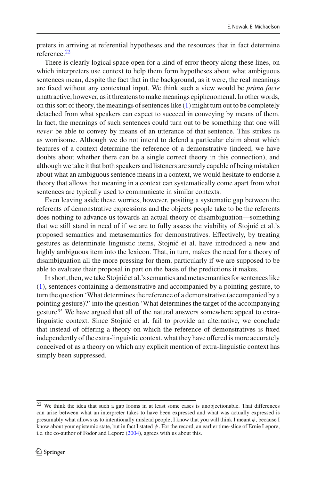preters in arriving at referential hypotheses and the resources that in fact determine reference.[22](#page-9-0)

There is clearly logical space open for a kind of error theory along these lines, on which interpreters use context to help them form hypotheses about what ambiguous sentences mean, despite the fact that in the background, as it were, the real meanings are fixed without any contextual input. We think such a view would be *prima facie* unattractive, however, as it threatens to make meanings epiphenomenal. In other words, on this sort of theory, the meanings of sentences like  $(1)$  might turn out to be completely detached from what speakers can expect to succeed in conveying by means of them. In fact, the meanings of such sentences could turn out to be something that one will *never* be able to convey by means of an utterance of that sentence. This strikes us as worrisome. Although we do not intend to defend a particular claim about which features of a context determine the reference of a demonstrative (indeed, we have doubts about whether there can be a single correct theory in this connection), and although we take it that both speakers and listeners are surely capable of being mistaken about what an ambiguous sentence means in a context, we would hesitate to endorse a theory that allows that meaning in a context can systematically come apart from what sentences are typically used to communicate in similar contexts.

Even leaving aside these worries, however, positing a systematic gap between the referents of demonstrative expressions and the objects people take to be the referents does nothing to advance us towards an actual theory of disambiguation—something that we still stand in need of if we are to fully assess the viability of Stojnić et al.'s proposed semantics and metasemantics for demonstratives. Effectively, by treating gestures as determinate linguistic items, Stojnić et al. have introduced a new and highly ambiguous item into the lexicon. That, in turn, makes the need for a theory of disambiguation all the more pressing for them, particularly if we are supposed to be able to evaluate their proposal in part on the basis of the predictions it makes.

In short, then, we take Stojnić et al.'s semantics and metasemantics for sentences like [\(1\)](#page-0-0), sentences containing a demonstrative and accompanied by a pointing gesture, to turn the question 'What determines the reference of a demonstrative (accompanied by a pointing gesture)?' into the question 'What determines the target of the accompanying gesture?' We have argued that all of the natural answers somewhere appeal to extralinguistic context. Since Stojnić et al. fail to provide an alternative, we conclude that instead of offering a theory on which the reference of demonstratives is fixed independently of the extra-linguistic context, what they have offered is more accurately conceived of as a theory on which any explicit mention of extra-linguistic context has simply been suppressed.

<span id="page-9-0"></span><sup>22</sup> We think the idea that such a gap looms in at least some cases is unobjectionable. That differences can arise between what an interpreter takes to have been expressed and what was actually expressed is presumably what allows us to intentionally mislead people; I know that you will think I meant φ, because I know about your epistemic state, but in fact I stated  $\psi$ . For the record, an earlier time-slice of Ernie Lepore, i.e. the co-author of Fodor and Lepor[e](#page-18-15) [\(2004\)](#page-18-15), agrees with us about this.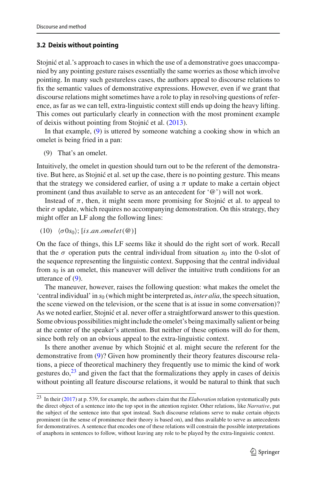# **3.2 Deixis without pointing**

Stojnić et al.'s approach to cases in which the use of a demonstrative goes unaccompanied by any pointing gesture raises essentially the same worries as those which involve pointing. In many such gestureless cases, the authors appeal to discourse relations to fix the semantic values of demonstrative expressions. However, even if we grant that discourse relations might sometimes have a role to play in resolving questions of reference, as far as we can tell, extra-linguistic context still ends up doing the heavy lifting. This comes out particularly clearly in connection with the most prominent example of deixis without pointing from Stojnić et al[.](#page-19-0) [\(2013](#page-19-0)).

In that example, [\(9\)](#page-10-0) is uttered by someone watching a cooking show in which an omelet is being fried in a pan:

<span id="page-10-0"></span>(9) That's an omelet.

Intuitively, the omelet in question should turn out to be the referent of the demonstrative. But here, as Stojnić et al. set up the case, there is no pointing gesture. This means that the strategy we considered earlier, of using a  $\pi$  update to make a certain object prominent (and thus available to serve as an antecedent for '@') will not work.

Instead of  $\pi$ , then, it might seem more promising for Stojnić et al. to appeal to their  $\sigma$  update, which requires no accompanying demonstration. On this strategy, they might offer an LF along the following lines:

(10)  $\langle \sigma 0s_0 \rangle$ ; [*is.an.omelet*(@)]

On the face of things, this LF seems like it should do the right sort of work. Recall that the  $\sigma$  operation puts the central individual from situation  $s_0$  into the 0-slot of the sequence representing the linguistic context. Supposing that the central individual from  $s<sub>0</sub>$  is an omelet, this maneuver will deliver the intuitive truth conditions for an utterance of  $(9)$ .

The maneuver, however, raises the following question: what makes the omelet the 'central individual' in *s*<sup>0</sup> (which might be interpreted as, *inter alia*, the speech situation, the scene viewed on the television, or the scene that is at issue in some conversation)? As we noted earlier, Stojnić et al. never offer a straightforward answer to this question. Some obvious possibilities might include the omelet's being maximally salient or being at the center of the speaker's attention. But neither of these options will do for them, since both rely on an obvious appeal to the extra-linguistic context.

Is there another avenue by which Stojnić et al. might secure the referent for the demonstrative from [\(9\)](#page-10-0)? Given how prominently their theory features discourse relations, a piece of theoretical machinery they frequently use to mimic the kind of work gestures do, $^{23}$  $^{23}$  $^{23}$  and given the fact that the formalizations they apply in cases of deixis without pointing all feature discourse relations, it would be natural to think that such

<span id="page-10-1"></span><sup>23</sup> In their [\(2017](#page-19-1)) at p. 539, for example, the authors claim that the *Elaboration* relation systematically puts the direct object of a sentence into the top spot in the attention register. Other relations, like *Narrative*, put the subject of the sentence into that spot instead. Such discourse relations serve to make certain objects prominent (in the sense of prominence their theory is based on), and thus available to serve as antecedents for demonstratives. A sentence that encodes one of these relations will constrain the possible interpretations of anaphora in sentences to follow, without leaving any role to be played by the extra-linguistic context.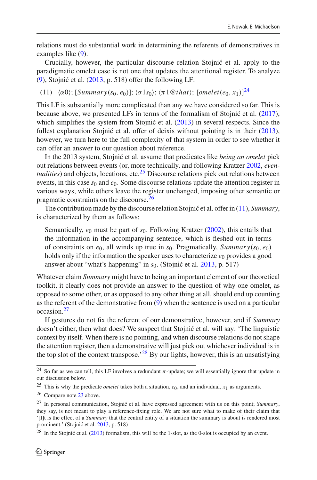relations must do substantial work in determining the referents of demonstratives in examples like [\(9\)](#page-10-0).

Crucially, however, the particular discourse relation Stojnić et al. apply to the paradigmatic omelet case is not one that updates the attentional register. To analyze [\(9\)](#page-10-0), Stojnić et al.  $(2013, p. 518)$  $(2013, p. 518)$  offer the following LF:

<span id="page-11-3"></span>(11)  $\langle \alpha 0 \rangle$ ; [*Summary*(*s*<sub>0</sub>, *e*<sub>0</sub>)];  $\langle \sigma 1s_0 \rangle$ ;  $\langle \pi 1 \mathcal{Q} that \rangle$ ; [*omelet*(*e*<sub>0</sub>, *x*<sub>1</sub>)]<sup>[24](#page-11-0)</sup>

This LF is substantially more complicated than any we have considered so far. This is because above, we presented LFs in terms of the formalism of Stojnić et al[.](#page-19-1) [\(2017](#page-19-1)), which simplifies the system from Stojnić et al[.](#page-19-0)  $(2013)$  $(2013)$  in several respects. Since the fullest explanation Stojnić et al. offer of deixis without pointing is in their  $(2013)$  $(2013)$ , however, we turn here to the full complexity of that system in order to see whether it can offer an answer to our question about reference.

In the 2013 system, Stojnić et al. assume that predicates like *being an omelet* pick out relations between events (or, more technically, and following Kratzer [2002,](#page-18-14) *eventualities*) and objects, locations, etc.<sup>25</sup> Discourse relations pick out relations between events, in this case  $s_0$  and  $e_0$ . Some discourse relations update the attention register in various ways, while others leave the register unchanged, imposing other semantic or pragmatic constraints on the discourse[.26](#page-11-2)

The contribution made by the discourse relation Stojnić et al. offer in [\(11\)](#page-11-3), *Summary*, is characterized by them as follows:

Semantically,  $e_0$  must be pa[r](#page-18-14)t of  $s_0$ . Following Kratzer [\(2002](#page-18-14)), this entails that the information in the accompanying sentence, which is fleshed out in terms of constraints on  $e_0$ , all winds up true in  $s_0$ . Pragmatically, *Summary*( $s_0$ ,  $e_0$ ) holds only if the information the speaker uses to characterize  $e_0$  provides a good answer about "what's happening" in  $s_0$ . (Stojnić et al. [2013,](#page-19-0) p. 517)

Whatever claim *Summary* might have to being an important element of our theoretical toolkit, it clearly does not provide an answer to the question of why one omelet, as opposed to some other, or as opposed to any other thing at all, should end up counting as the referent of the demonstrative from [\(9\)](#page-10-0) when the sentence is used on a particular occasion[.27](#page-11-4)

If gestures do not fix the referent of our demonstrative, however, and if *Summary* doesn't either, then what does? We suspect that Stojnić et al. will say: 'The linguistic context by itself. When there is no pointing, and when discourse relations do not shape the attention register, then a demonstrative will just pick out whichever individual is in the top slot of the context transpose.<sup>[28](#page-11-5)</sup> By our lights, however, this is an unsatisfying

<span id="page-11-0"></span><sup>&</sup>lt;sup>24</sup> So far as we can tell, this LF involves a redundant  $\pi$ -update; we will essentially ignore that update in our discussion below.

<span id="page-11-1"></span><sup>&</sup>lt;sup>25</sup> This is why the predicate *omelet* takes both a situation,  $e_0$ , and an individual,  $x_1$  as arguments.

<span id="page-11-2"></span><sup>26</sup> Compare note [23](#page-10-1) above.

<span id="page-11-4"></span><sup>&</sup>lt;sup>27</sup> In personal communication, Stojnić et al. have expressed agreement with us on this point; *Summary*, they say, is not meant to play a reference-fixing role. We are not sure what to make of their claim that '[I]t is the effect of a *Summary* that the central entity of a situation the summary is about is rendered most prominent.' (Stojnić et al. [2013,](#page-19-0) p. 518)

<span id="page-11-5"></span> $28$  In the Stojnić et al[.](#page-19-0) [\(2013](#page-19-0)) formalism, this will be the 1-slot, as the 0-slot is occupied by an event.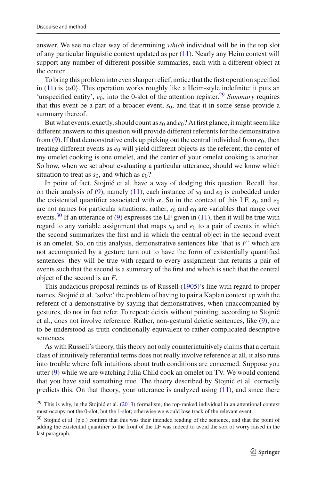answer. We see no clear way of determining *which* individual will be in the top slot of any particular linguistic context updated as per [\(11\)](#page-11-3). Nearly any Heim context will support any number of different possible summaries, each with a different object at the center.

To bring this problem into even sharper relief, notice that the first operation specified in [\(11\)](#page-11-3) is  $\langle \alpha 0 \rangle$ . This operation works roughly like a Heim-style indefinite: it puts an 'unspecified entity',  $e_0$ , into the 0-slot of the attention register.<sup>[29](#page-12-0)</sup> *Summary* requires that this event be a part of a broader event,  $s<sub>0</sub>$ , and that it in some sense provide a summary thereof.

But what events, exactly, should count as  $s_0$  and  $e_0$ ? At first glance, it might seem like different answers to this question will provide different referents for the demonstrative from  $(9)$ . If that demonstrative ends up picking out the central individual from  $e_0$ , then treating different events as  $e_0$  will yield different objects as the referent; the center of my omelet cooking is one omelet, and the center of your omelet cooking is another. So how, when we set about evaluating a particular utterance, should we know which situation to treat as  $s_0$ , and which as  $e_0$ ?

In point of fact, Stojnić et al. have a way of dodging this question. Recall that, on their analysis of  $(9)$ , namely  $(11)$ , each instance of  $s_0$  and  $e_0$  is embedded under the existential quantifier associated with  $\alpha$ . So in the context of this LF,  $s_0$  and  $e_0$ are not names for particular situations; rather,  $s_0$  and  $e_0$  are variables that range over events.<sup>30</sup> If an utterance of [\(9\)](#page-10-0) expresses the LF given in [\(11\)](#page-11-3), then it will be true with regard to any variable assignment that maps *s*<sup>0</sup> and *e*<sup>0</sup> to a pair of events in which the second summarizes the first and in which the central object in the second event is an omelet. So, on this analysis, demonstrative sentences like 'that is *F*' which are not accompanied by a gesture turn out to have the form of existentially quantified sentences: they will be true with regard to every assignment that returns a pair of events such that the second is a summary of the first and which is such that the central object of the second is an *F*.

This audacious proposal reminds us of Russel[l](#page-19-21) [\(1905\)](#page-19-21)'s line with regard to proper names. Stojnić et al. 'solve' the problem of having to pair a Kaplan context up with the referent of a demonstrative by saying that demonstratives, when unaccompanied by gestures, do not in fact refer. To repeat: deixis without pointing, according to Stojnić et al., does not involve reference. Rather, non-gestural deictic sentences, like [\(9\)](#page-10-0), are to be understood as truth conditionally equivalent to rather complicated descriptive sentences.

As with Russell's theory, this theory not only counterintuitively claims that a certain class of intuitively referential terms does not really involve reference at all, it also runs into trouble where folk intuitions about truth conditions are concerned. Suppose you utter [\(9\)](#page-10-0) while we are watching Julia Child cook an omelet on TV. We would contend that you have said something true. The theory described by Stojnić et al. correctly predicts this. On that theory, your utterance is analyzed using  $(11)$ , and since there

<span id="page-12-0"></span> $29$  This is why, in the Stojnić et al[.](#page-19-0) [\(2013](#page-19-0)) formalism, the top-ranked individual in an attentional context must occupy not the 0-slot, but the 1-slot; otherwise we would lose track of the relevant event.

<span id="page-12-1"></span><sup>&</sup>lt;sup>30</sup> Stojnić et al. (p.c.) confirm that this was their intended reading of the sentence, and that the point of adding the existential quantifier to the front of the LF was indeed to avoid the sort of worry raised in the last paragraph.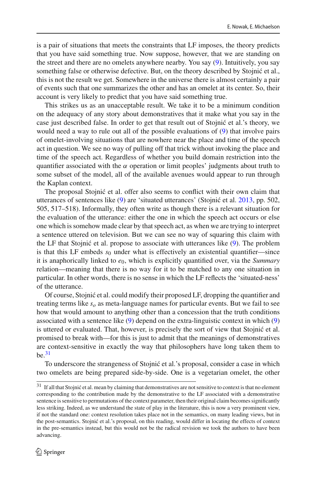is a pair of situations that meets the constraints that LF imposes, the theory predicts that you have said something true. Now suppose, however, that we are standing on the street and there are no omelets anywhere nearby. You say [\(9\)](#page-10-0). Intuitively, you say something false or otherwise defective. But, on the theory described by Stojnić et al., this is not the result we get. Somewhere in the universe there is almost certainly a pair of events such that one summarizes the other and has an omelet at its center. So, their account is very likely to predict that you have said something true.

This strikes us as an unacceptable result. We take it to be a minimum condition on the adequacy of any story about demonstratives that it make what you say in the case just described false. In order to get that result out of Stojnić et al.'s theory, we would need a way to rule out all of the possible evaluations of [\(9\)](#page-10-0) that involve pairs of omelet-involving situations that are nowhere near the place and time of the speech act in question. We see no way of pulling off that trick without invoking the place and time of the speech act. Regardless of whether you build domain restriction into the quantifier associated with the  $\alpha$  operation or limit peoples' judgments about truth to some subset of the model, all of the available avenues would appear to run through the Kaplan context.

The proposal Stojnić et al. offer also seems to conflict with their own claim that utterances of sentences like [\(9\)](#page-10-0) are 'situated utterances' (Stojnić et al. [2013,](#page-19-0) pp. 502, 505, 517–518). Informally, they often write as though there is a relevant situation for the evaluation of the utterance: either the one in which the speech act occurs or else one which is somehow made clear by that speech act, as when we are trying to interpret a sentence uttered on television. But we can see no way of squaring this claim with the LF that Stojnić et al. propose to associate with utterances like  $(9)$ . The problem is that this LF embeds  $s_0$  under what is effectively an existential quantifier—since it is anaphorically linked to *e*0, which is explicitly quantified over, via the *Summary* relation—meaning that there is no way for it to be matched to any one situation in particular. In other words, there is no sense in which the LF reflects the 'situated-ness' of the utterance.

Of course, Stojnić et al. could modify their proposed LF, dropping the quantifier and treating terms like  $s<sub>o</sub>$  as meta-language names for particular events. But we fail to see how that would amount to anything other than a concession that the truth conditions associated with a sentence like [\(9\)](#page-10-0) depend on the extra-linguistic context in which [\(9\)](#page-10-0) is uttered or evaluated. That, however, is precisely the sort of view that Stojnić et al. promised to break with—for this is just to admit that the meanings of demonstratives are context-sensitive in exactly the way that philosophers have long taken them to  $he<sup>31</sup>$  $he<sup>31</sup>$  $he<sup>31</sup>$ 

To underscore the strangeness of Stojnić et al.'s proposal, consider a case in which two omelets are being prepared side-by-side. One is a vegetarian omelet, the other

<span id="page-13-0"></span> $31$  If all that Stojnić et al. mean by claiming that demonstratives are not sensitive to context is that no element corresponding to the contribution made by the demonstrative to the LF associated with a demonstrative sentence is sensitive to permutations of the context parameter, then their original claim becomes significantly less striking. Indeed, as we understand the state of play in the literature, this is now a very prominent view, if not the standard one: context resolution takes place not in the semantics, on many leading views, but in the post-semantics. Stojnić et al.'s proposal, on this reading, would differ in locating the effects of context in the pre-semantics instead, but this would not be the radical revision we took the authors to have been advancing.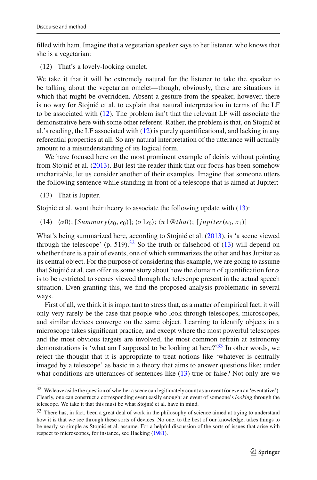filled with ham. Imagine that a vegetarian speaker says to her listener, who knows that she is a vegetarian:

<span id="page-14-0"></span>(12) That's a lovely-looking omelet.

We take it that it will be extremely natural for the listener to take the speaker to be talking about the vegetarian omelet—though, obviously, there are situations in which that might be overridden. Absent a gesture from the speaker, however, there is no way for Stojnić et al. to explain that natural interpretation in terms of the LF to be associated with [\(12\)](#page-14-0). The problem isn't that the relevant LF will associate the demonstrative here with some other referent. Rather, the problem is that, on Stojnić et al.'s reading, the LF associated with [\(12\)](#page-14-0) is purely quantificational, and lacking in any referential properties at all. So any natural interpretation of the utterance will actually amount to a misunderstanding of its logical form.

We have focused here on the most prominent example of deixis without pointing from Stojnić et al[.](#page-19-0)  $(2013)$ . But lest the reader think that our focus has been somehow uncharitable, let us consider another of their examples. Imagine that someone utters the following sentence while standing in front of a telescope that is aimed at Jupiter:

<span id="page-14-1"></span>(13) That is Jupiter.

Stojnić et al. want their theory to associate the following update with  $(13)$ :

(14)  $\langle \alpha 0 \rangle$ ; [*Summary*( $s_0, e_0$ )];  $\langle \sigma 1s_0 \rangle$ ;  $\langle \pi 1 \mathcal{Q} that \rangle$ ; [*jupiter*( $e_0, x_1$ )]

What's being summarized here, according to Stojnić et al[.](#page-19-0) [\(2013](#page-19-0)), is 'a scene viewed through the telescope' (p. 519).<sup>[32](#page-14-2)</sup> So the truth or falsehood of  $(13)$  will depend on whether there is a pair of events, one of which summarizes the other and has Jupiter as its central object. For the purpose of considering this example, we are going to assume that Stojnić et al. can offer us some story about how the domain of quantification for  $\alpha$ is to be restricted to scenes viewed through the telescope present in the actual speech situation. Even granting this, we find the proposed analysis problematic in several ways.

First of all, we think it is important to stress that, as a matter of empirical fact, it will only very rarely be the case that people who look through telescopes, microscopes, and similar devices converge on the same object. Learning to identify objects in a microscope takes significant practice, and except where the most powerful telescopes and the most obvious targets are involved, the most common refrain at astronomy demonstrations is 'what am I supposed to be looking at here?'<sup>[33](#page-14-3)</sup> In other words, we reject the thought that it is appropriate to treat notions like 'whatever is centrally imaged by a telescope' as basic in a theory that aims to answer questions like: under what conditions are utterances of sentences like  $(13)$  true or false? Not only are we

<span id="page-14-2"></span><sup>32</sup> We leave aside the question of whether a scene can legitimately count as an event (or even an 'eventative'). Clearly, one can construct a corresponding event easily enough: an event of someone's *looking* through the telescope. We take it that this must be what Stojnić et al. have in mind.

<span id="page-14-3"></span><sup>&</sup>lt;sup>33</sup> There has, in fact, been a great deal of work in the philosophy of science aimed at trying to understand how it is that we see through these sorts of devices. No one, to the best of our knowledge, takes things to be nearly so simple as Stojnić et al. assume. For a helpful discussion of the sorts of issues that arise with respect to microscopes, for instance, see Hackin[g](#page-18-16) [\(1981](#page-18-16)).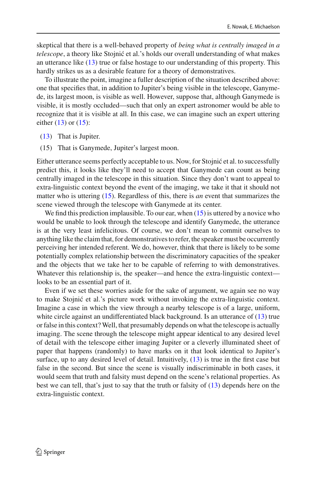skeptical that there is a well-behaved property of *being what is centrally imaged in a telescope*, a theory like Stojnić et al.'s holds our overall understanding of what makes an utterance like [\(13\)](#page-14-1) true or false hostage to our understanding of this property. This hardly strikes us as a desirable feature for a theory of demonstratives.

To illustrate the point, imagine a fuller description of the situation described above: one that specifies that, in addition to Jupiter's being visible in the telescope, Ganymede, its largest moon, is visible as well. However, suppose that, although Ganymede is visible, it is mostly occluded—such that only an expert astronomer would be able to recognize that it is visible at all. In this case, we can imagine such an expert uttering either  $(13)$  or  $(15)$ :

- <span id="page-15-0"></span>[\(13\)](#page-14-1) That is Jupiter.
- (15) That is Ganymede, Jupiter's largest moon.

Either utterance seems perfectly acceptable to us. Now, for Stojnić et al. to successfully predict this, it looks like they'll need to accept that Ganymede can count as being centrally imaged in the telescope in this situation. Since they don't want to appeal to extra-linguistic context beyond the event of the imaging, we take it that it should not matter who is uttering [\(15\)](#page-15-0). Regardless of this, there is *an* event that summarizes the scene viewed through the telescope with Ganymede at its center.

We find this prediction implausible. To our ear, when  $(15)$  is uttered by a novice who would be unable to look through the telescope and identify Ganymede, the utterance is at the very least infelicitous. Of course, we don't mean to commit ourselves to anything like the claim that, for demonstratives to refer, the speaker must be occurrently perceiving her intended referent. We do, however, think that there is likely to be some potentially complex relationship between the discriminatory capacities of the speaker and the objects that we take her to be capable of referring to with demonstratives. Whatever this relationship is, the speaker—and hence the extra-linguistic context looks to be an essential part of it.

Even if we set these worries aside for the sake of argument, we again see no way to make Stojnić et al.'s picture work without invoking the extra-linguistic context. Imagine a case in which the view through a nearby telescope is of a large, uniform, white circle against an undifferentiated black background. Is an utterance of  $(13)$  true or false in this context? Well, that presumably depends on what the telescope is actually imaging. The scene through the telescope might appear identical to any desired level of detail with the telescope either imaging Jupiter or a cleverly illuminated sheet of paper that happens (randomly) to have marks on it that look identical to Jupiter's surface, up to any desired level of detail. Intuitively, [\(13\)](#page-14-1) is true in the first case but false in the second. But since the scene is visually indiscriminable in both cases, it would seem that truth and falsity must depend on the scene's relational properties. As best we can tell, that's just to say that the truth or falsity of [\(13\)](#page-14-1) depends here on the extra-linguistic context.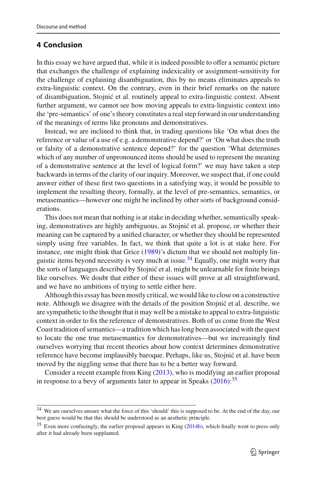#### **4 Conclusion**

In this essay we have argued that, while it is indeed possible to offer a semantic picture that exchanges the challenge of explaining indexicality or assignment-sensitivity for the challenge of explaining disambiguation, this by no means eliminates appeals to extra-linguistic context. On the contrary, even in their brief remarks on the nature of disambiguation, Stojni´c et al. routinely appeal to extra-linguistic context. Absent further argument, we cannot see how moving appeals to extra-linguistic context into the 'pre-semantics' of one's theory constitutes a real step forward in our understanding of the meanings of terms like pronouns and demonstratives.

Instead, we are inclined to think that, in trading questions like 'On what does the reference or value of a use of e.g. a demonstrative depend?' or 'On what does the truth or falsity of a demonstrative sentence depend?' for the question 'What determines which of any number of unpronounced items should be used to represent the meaning of a demonstrative sentence at the level of logical form?' we may have taken a step backwards in terms of the clarity of our inquiry. Moreover, we suspect that, if one could answer either of these first two questions in a satisfying way, it would be possible to implement the resulting theory, formally, at the level of pre-semantics, semantics, or metasemantics—however one might be inclined by other sorts of background considerations.

This does not mean that nothing is at stake in deciding whether, semantically speaking, demonstratives are highly ambiguous, as Stojnić et al. propose, or whether their meaning can be captured by a unified character, or whether they should be represented simply using free variables. In fact, we think that quite a lot is at stake here. For instance, one might think that Gric[e](#page-18-17) [\(1989](#page-18-17))'s dictum that we should not multiply lin-guistic items beyond necessity is very much at issue.<sup>[34](#page-16-0)</sup> Equally, one might worry that the sorts of languages described by Stojnić et al. might be unlearnable for finite beings like ourselves. We doubt that either of these issues will prove at all straightforward, and we have no ambitions of trying to settle either here.

Although this essay has been mostly critical, we would like to close on a constructive note. Although we disagree with the details of the position Stojnić et al. describe, we are sympathetic to the thought that it may well be a mistake to appeal to extra-linguistic context in order to fix the reference of demonstratives. Both of us come from the West Coast tradition of semantics—a tradition which has long been associated with the quest to locate the one true metasemantics for demonstratives—but we increasingly find ourselves worrying that recent theories about how context determines demonstrative reference have become implausibly baroque. Perhaps, like us, Stojnić et al. have been moved by the niggling sense that there has to be a better way forward.

Consider a recent example from Kin[g](#page-18-6) [\(2013](#page-18-6)), who is modifying an earlier proposal in re[s](#page-19-13)ponse to a bevy of arguments later to appear in Speaks  $(2016)$  $(2016)$ :<sup>[35](#page-16-1)</sup>

<span id="page-16-0"></span><sup>34</sup> We are ourselves unsure what the force of this 'should' this is supposed to be. At the end of the day, our best guess would be that this should be understood as an aesthetic principle.

<span id="page-16-1"></span><sup>&</sup>lt;sup>35</sup> Even more confusin[g](#page-18-8)ly, the earlier proposal appears in King [\(2014b\)](#page-18-8), which finally went to press only after it had already been supplanted.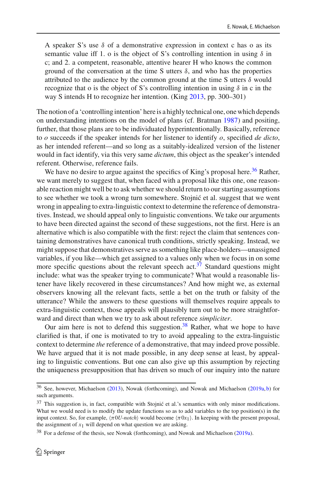A speaker S's use  $\delta$  of a demonstrative expression in context c has o as its semantic value iff 1. o is the object of S's controlling intention in using  $\delta$  in c; and 2. a competent, reasonable, attentive hearer H who knows the common ground of the conversation at the time S utters  $\delta$ , and who has the properties attributed to the audience by the common ground at the time S utters  $\delta$  would recognize that o is the object of S's controlling intention in using  $\delta$  in c in the way S intends H to recognize her intention. (Kin[g](#page-18-6) [2013,](#page-18-6) pp. 300–301)

The notion of a 'controlling intention' here is a highly technical one, one which depends on understanding intentions on the model of plans (cf. Bratma[n](#page-18-18) [1987\)](#page-18-18) and positing, further, that those plans are to be individuated hyperintentionally. Basically, reference to *o* succeeds if the speaker intends for her listener to identify *o*, specified *de dicto*, as her intended referent—and so long as a suitably-idealized version of the listener would in fact identify, via this very same *dictum*, this object as the speaker's intended referent. Otherwise, reference fails.

We have no desire to argue against the specifics of King's proposal here.<sup>36</sup> Rather, we want merely to suggest that, when faced with a proposal like this one, one reasonable reaction might well be to ask whether we should return to our starting assumptions to see whether we took a wrong turn somewhere. Stojnić et al. suggest that we went wrong in appealing to extra-linguistic context to determine the reference of demonstratives. Instead, we should appeal only to linguistic conventions. We take our arguments to have been directed against the second of these suggestions, not the first. Here is an alternative which is also compatible with the first: reject the claim that sentences containing demonstratives have canonical truth conditions, strictly speaking. Instead, we might suppose that demonstratives serve as something like place-holders—unassigned variables, if you like—which get assigned to a values only when we focus in on some more specific questions about the relevant speech act.<sup>37</sup> Standard questions might include: what was the speaker trying to communicate? What would a reasonable listener have likely recovered in these circumstances? And how might we, as external observers knowing all the relevant facts, settle a bet on the truth or falsity of the utterance? While the answers to these questions will themselves require appeals to extra-linguistic context, those appeals will plausibly turn out to be more straightforward and direct than when we try to ask about reference *simpliciter*.

Our aim here is not to defend this suggestion.<sup>38</sup> Rather, what we hope to have clarified is that, if one is motivated to try to avoid appealing to the extra-linguistic context to determine *the* reference of a demonstrative, that may indeed prove possible. We have argued that it is not made possible, in any deep sense at least, by appealing to linguistic conventions. But one can also give up this assumption by rejecting the uniqueness presupposition that has driven so much of our inquiry into the nature

<span id="page-17-0"></span><sup>36</sup> See, however, Michaelso[n](#page-19-17) [\(2013](#page-19-17)), Nowak (forthcoming), and Nowak and Michaelso[n](#page-19-22) [\(2019a](#page-19-22), [b](#page-19-23)) for such arguments.

<span id="page-17-1"></span> $37$  This suggestion is, in fact, compatible with Stojnić et al.'s semantics with only minor modifications. What we would need is to modify the update functions so as to add variables to the top position(s) in the input context. So, for example,  $\langle \pi 0U\text{-}notch \rangle$  would become  $\langle \pi 0x_1 \rangle$ . In keeping with the present proposal, the assignment of  $x_1$  will depend on what question we are asking.

<span id="page-17-2"></span><sup>&</sup>lt;sup>38</sup> For a defe[n](#page-19-22)se of the thesis, see Nowak (forthcoming), and Nowak and Michaelson [\(2019a](#page-19-22)).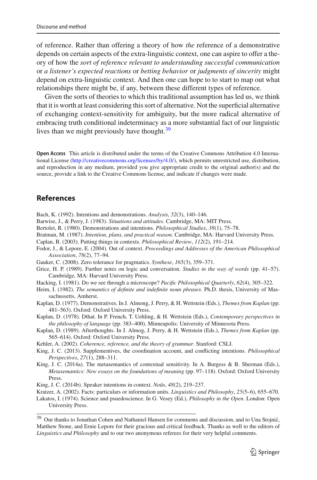of reference. Rather than offering a theory of how *the* reference of a demonstrative depends on certain aspects of the extra-linguistic context, one can aspire to offer a theory of how the *sort of reference relevant to understanding successful communication* or *a listener's expected reactions* or *betting behavior* or *judgments of sincerity* might depend on extra-linguistic context. And then one can hope to to start to map out what relationships there might be, if any, between these different types of reference.

Given the sorts of theories to which this traditional assumption has led us, we think that it is worth at least considering this sort of alternative. Not the superficial alternative of exchanging context-sensitivity for ambiguity, but the more radical alternative of embracing truth conditional indeterminacy as a more substantial fact of our linguistic lives than we might previously have thought. $39$ 

**Open Access** This article is distributed under the terms of the Creative Commons Attribution 4.0 International License [\(http://creativecommons.org/licenses/by/4.0/\)](http://creativecommons.org/licenses/by/4.0/), which permits unrestricted use, distribution, and reproduction in any medium, provided you give appropriate credit to the original author(s) and the source, provide a link to the Creative Commons license, and indicate if changes were made.

#### **References**

- <span id="page-18-4"></span>Bach, K. (1992). Intentions and demonstrations. *Analysis*, *52*(3), 140–146.
- <span id="page-18-13"></span>Barwise, J., & Perry, J. (1983). *Situations and attitudes*. Cambridge, MA: MIT Press.
- <span id="page-18-3"></span>Bertolet, R. (1980). Demonstrations and intentions. *Philosophical Studies*, *38*(1), 75–78.
- <span id="page-18-18"></span>Bratman, M. (1987). *Intention, plans, and practical reason*. Cambridge, MA: Harvard University Press.
- <span id="page-18-10"></span>Caplan, B. (2003). Putting things in contexts. *Philosophical Review*, *112*(2), 191–214.
- <span id="page-18-15"></span>Fodor, J., & Lepore, E. (2004). Out of context. *Proceedings and Addresses of the American Philosophical Association*, *78*(2), 77–94.
- <span id="page-18-5"></span>Gauker, C. (2008). Zero tolerance for pragmatics. *Synthese*, *165*(3), 359–371.
- <span id="page-18-17"></span>Grice, H. P. (1989). Further notes on logic and conversation. *Studies in the way of words* (pp. 41–57). Cambridge, MA: Harvard University Press.
- <span id="page-18-16"></span>Hacking, I. (1981). Do we see through a microscope? *Pacific Philosophical Quarterly*, *62*(4), 305–322.
- <span id="page-18-12"></span>Heim, I. (1982). *The semantics of definite and indefinite noun phrases*. Ph.D. thesis, University of Massachussetts, Amherst.
- <span id="page-18-0"></span>Kaplan, D. (1977). Demonstratives. In J. Almong, J. Perry, & H. Wettstein (Eds.), *Themes from Kaplan* (pp. 481–563). Oxford: Oxford University Press.
- <span id="page-18-1"></span>Kaplan, D. (1978). Dthat. In P. French, T. Uehling, & H. Wettstein (Eds.), *Contemporary perspectives in the philosophy of language* (pp. 383–400). Minneapolis: University of Minnesota Press.
- <span id="page-18-2"></span>Kaplan, D. (1989). Afterthoughts. In J. Almog, J. Perry, & H. Wettstein (Eds.), *Themes from Kaplan* (pp. 565–614). Oxford: Oxford University Press.
- <span id="page-18-11"></span>Kehler, A. (2002). *Coherence, reference, and the theory of grammar*. Stanford: CSLI.
- <span id="page-18-6"></span>King, J. C. (2013). Supplementives, the coordination account, and conflicting intentions. *Philosophical Perspectives*, *27*(1), 288–311.
- <span id="page-18-7"></span>King, J. C. (2014a). The metasemantics of contextual sensitivity. In A. Burgess & B. Sherman (Eds.), *Metasemantics: New essays on the foundations of meaning* (pp. 97–118). Oxford: Oxford University Press.
- <span id="page-18-8"></span>King, J. C. (2014b). Speaker intentions in context. *Noûs*, *48*(2), 219–237.
- <span id="page-18-14"></span>Kratzer, A. (2002). Facts: particulars or information units. *Linguistics and Philosophy*, *25*(5–6), 655–670.
- <span id="page-18-9"></span>Lakatos, I. (1974). Science and psuedoscience. In G. Vesey (Ed.), *Philosophy in the Open*. London: Open University Press.

<span id="page-18-19"></span><sup>&</sup>lt;sup>39</sup> Our thanks to Jonathan Cohen and Nathaniel Hansen for comments and discussion, and to Una Stojnić, Matthew Stone, and Ernie Lepore for their gracious and critical feedback. Thanks as well to the editors of *Linguistics and Philosophy* and to our two anonymous referees for their very helpful comments.